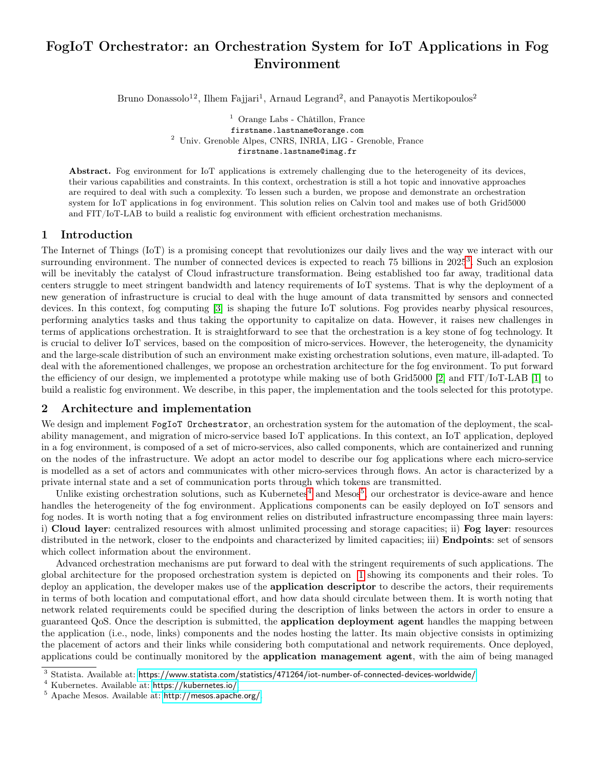# FogIoT Orchestrator: an Orchestration System for IoT Applications in Fog Environment

Bruno Donassolo<sup>12</sup>, Ilhem Fajjari<sup>1</sup>, Arnaud Legrand<sup>2</sup>, and Panayotis Mertikopoulos<sup>2</sup>

<sup>1</sup> Orange Labs - Châtillon, France firstname.lastname@orange.com <sup>2</sup> Univ. Grenoble Alpes, CNRS, INRIA, LIG - Grenoble, France firstname.lastname@imag.fr

Abstract. Fog environment for IoT applications is extremely challenging due to the heterogeneity of its devices, their various capabilities and constraints. In this context, orchestration is still a hot topic and innovative approaches are required to deal with such a complexity. To lessen such a burden, we propose and demonstrate an orchestration system for IoT applications in fog environment. This solution relies on Calvin tool and makes use of both Grid5000 and FIT/IoT-LAB to build a realistic fog environment with efficient orchestration mechanisms.

#### 1 Introduction

The Internet of Things (IoT) is a promising concept that revolutionizes our daily lives and the way we interact with our surrounding environment. The number of connected devices is expected to reach 75 billions in 2025<sup>[3](#page-0-0)</sup>. Such an explosion will be inevitably the catalyst of Cloud infrastructure transformation. Being established too far away, traditional data centers struggle to meet stringent bandwidth and latency requirements of IoT systems. That is why the deployment of a new generation of infrastructure is crucial to deal with the huge amount of data transmitted by sensors and connected devices. In this context, fog computing [\[3\]](#page-2-0) is shaping the future IoT solutions. Fog provides nearby physical resources, performing analytics tasks and thus taking the opportunity to capitalize on data. However, it raises new challenges in terms of applications orchestration. It is straightforward to see that the orchestration is a key stone of fog technology. It is crucial to deliver IoT services, based on the composition of micro-services. However, the heterogeneity, the dynamicity and the large-scale distribution of such an environment make existing orchestration solutions, even mature, ill-adapted. To deal with the aforementioned challenges, we propose an orchestration architecture for the fog environment. To put forward the efficiency of our design, we implemented a prototype while making use of both Grid5000 [\[2\]](#page-2-1) and FIT/IoT-LAB [\[1\]](#page-2-2) to build a realistic fog environment. We describe, in this paper, the implementation and the tools selected for this prototype.

### 2 Architecture and implementation

We design and implement FogIoT Orchestrator, an orchestration system for the automation of the deployment, the scalability management, and migration of micro-service based IoT applications. In this context, an IoT application, deployed in a fog environment, is composed of a set of micro-services, also called components, which are containerized and running on the nodes of the infrastructure. We adopt an actor model to describe our fog applications where each micro-service is modelled as a set of actors and communicates with other micro-services through flows. An actor is characterized by a private internal state and a set of communication ports through which tokens are transmitted.

Unlike existing orchestration solutions, such as Kubernetes<sup>[4](#page-0-1)</sup> and Mesos<sup>[5](#page-0-2)</sup>, our orchestrator is device-aware and hence handles the heterogeneity of the fog environment. Applications components can be easily deployed on IoT sensors and fog nodes. It is worth noting that a fog environment relies on distributed infrastructure encompassing three main layers: i) Cloud layer: centralized resources with almost unlimited processing and storage capacities; ii) Fog layer: resources distributed in the network, closer to the endpoints and characterized by limited capacities; iii) Endpoints: set of sensors which collect information about the environment.

Advanced orchestration mechanisms are put forward to deal with the stringent requirements of such applications. The global architecture for the proposed orchestration system is depicted on [1](#page-1-0) showing its components and their roles. To deploy an application, the developer makes use of the **application descriptor** to describe the actors, their requirements in terms of both location and computational effort, and how data should circulate between them. It is worth noting that network related requirements could be specified during the description of links between the actors in order to ensure a guaranteed QoS. Once the description is submitted, the **application deployment agent** handles the mapping between the application (i.e., node, links) components and the nodes hosting the latter. Its main objective consists in optimizing the placement of actors and their links while considering both computational and network requirements. Once deployed, applications could be continually monitored by the application management agent, with the aim of being managed

<span id="page-0-0"></span><sup>&</sup>lt;sup>3</sup> Statista. Available at: <https://www.statista.com/statistics/471264/iot-number-of-connected-devices-worldwide/>

<span id="page-0-1"></span><sup>4</sup> Kubernetes. Available at: <https://kubernetes.io/>.

<span id="page-0-2"></span><sup>5</sup> Apache Mesos. Available at: <http://mesos.apache.org/>.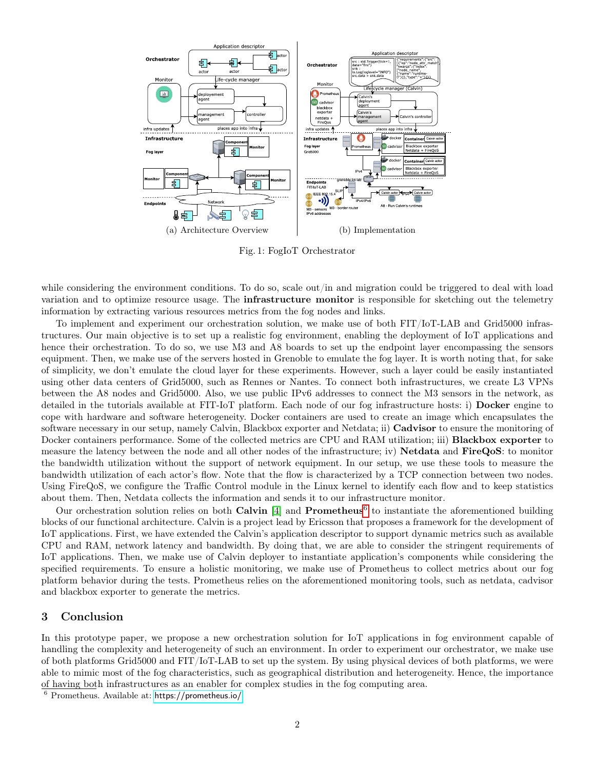<span id="page-1-0"></span>

Fig. 1: FogIoT Orchestrator

while considering the environment conditions. To do so, scale out/in and migration could be triggered to deal with load variation and to optimize resource usage. The **infrastructure monitor** is responsible for sketching out the telemetry information by extracting various resources metrics from the fog nodes and links.

To implement and experiment our orchestration solution, we make use of both FIT/IoT-LAB and Grid5000 infrastructures. Our main objective is to set up a realistic fog environment, enabling the deployment of IoT applications and hence their orchestration. To do so, we use M3 and A8 boards to set up the endpoint layer encompassing the sensors equipment. Then, we make use of the servers hosted in Grenoble to emulate the fog layer. It is worth noting that, for sake of simplicity, we don't emulate the cloud layer for these experiments. However, such a layer could be easily instantiated using other data centers of Grid5000, such as Rennes or Nantes. To connect both infrastructures, we create L3 VPNs between the A8 nodes and Grid5000. Also, we use public IPv6 addresses to connect the M3 sensors in the network, as detailed in the tutorials available at FIT-IoT platform. Each node of our fog infrastructure hosts: i) Docker engine to cope with hardware and software heterogeneity. Docker containers are used to create an image which encapsulates the software necessary in our setup, namely Calvin, Blackbox exporter and Netdata; ii) Cadvisor to ensure the monitoring of Docker containers performance. Some of the collected metrics are CPU and RAM utilization; iii) **Blackbox exporter** to measure the latency between the node and all other nodes of the infrastructure; iv) Netdata and FireQoS: to monitor the bandwidth utilization without the support of network equipment. In our setup, we use these tools to measure the bandwidth utilization of each actor's flow. Note that the flow is characterized by a TCP connection between two nodes. Using FireQoS, we configure the Traffic Control module in the Linux kernel to identify each flow and to keep statistics about them. Then, Netdata collects the information and sends it to our infrastructure monitor.

Our orchestration solution relies on both Calvin  $[4]$  and Prometheus<sup>[6](#page-1-1)</sup> to instantiate the aforementioned building blocks of our functional architecture. Calvin is a project lead by Ericsson that proposes a framework for the development of IoT applications. First, we have extended the Calvin's application descriptor to support dynamic metrics such as available CPU and RAM, network latency and bandwidth. By doing that, we are able to consider the stringent requirements of IoT applications. Then, we make use of Calvin deployer to instantiate application's components while considering the specified requirements. To ensure a holistic monitoring, we make use of Prometheus to collect metrics about our fog platform behavior during the tests. Prometheus relies on the aforementioned monitoring tools, such as netdata, cadvisor and blackbox exporter to generate the metrics.

#### 3 Conclusion

In this prototype paper, we propose a new orchestration solution for IoT applications in fog environment capable of handling the complexity and heterogeneity of such an environment. In order to experiment our orchestrator, we make use of both platforms Grid5000 and FIT/IoT-LAB to set up the system. By using physical devices of both platforms, we were able to mimic most of the fog characteristics, such as geographical distribution and heterogeneity. Hence, the importance of having both infrastructures as an enabler for complex studies in the fog computing area.

<span id="page-1-1"></span><sup>6</sup> Prometheus. Available at: <https://prometheus.io/>.